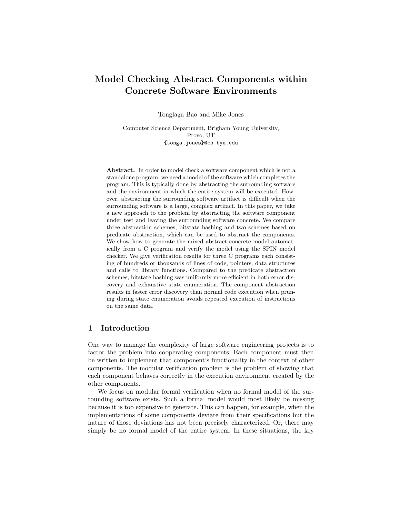# Model Checking Abstract Components within Concrete Software Environments

Tonglaga Bao and Mike Jones

Computer Science Department, Brigham Young University, Provo, UT {tonga,jones}@cs.byu.edu

Abstract. In order to model check a software component which is not a standalone program, we need a model of the software which completes the program. This is typically done by abstracting the surrounding software and the environment in which the entire system will be executed. However, abstracting the surrounding software artifact is difficult when the surrounding software is a large, complex artifact. In this paper, we take a new approach to the problem by abstracting the software component under test and leaving the surrounding software concrete. We compare three abstraction schemes, bitstate hashing and two schemes based on predicate abstraction, which can be used to abstract the components. We show how to generate the mixed abstract-concrete model automatically from a C program and verify the model using the SPIN model checker. We give verification results for three C programs each consisting of hundreds or thousands of lines of code, pointers, data structures and calls to library functions. Compared to the predicate abstraction schemes, bitstate hashing was uniformly more efficient in both error discovery and exhaustive state enumeration. The component abstraction results in faster error discovery than normal code execution when pruning during state enumeration avoids repeated execution of instructions on the same data.

# 1 Introduction

One way to manage the complexity of large software engineering projects is to factor the problem into cooperating components. Each component must then be written to implement that component's functionality in the context of other components. The modular verification problem is the problem of showing that each component behaves correctly in the execution environment created by the other components.

We focus on modular formal verification when no formal model of the surrounding software exists. Such a formal model would most likely be missing because it is too expensive to generate. This can happen, for example, when the implementations of some components deviate from their specifications but the nature of those deviations has not been precisely characterized. Or, there may simply be no formal model of the entire system. In these situations, the key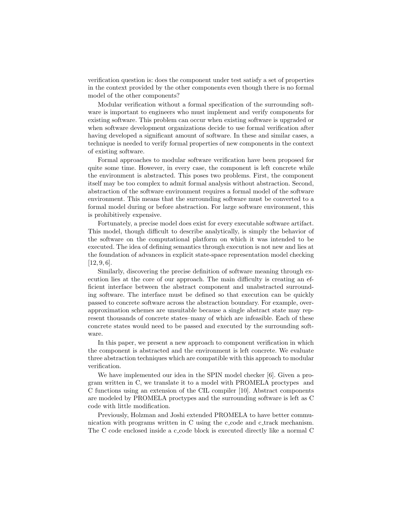verification question is: does the component under test satisfy a set of properties in the context provided by the other components even though there is no formal model of the other components?

Modular verification without a formal specification of the surrounding software is important to engineers who must implement and verify components for existing software. This problem can occur when existing software is upgraded or when software development organizations decide to use formal verification after having developed a significant amount of software. In these and similar cases, a technique is needed to verify formal properties of new components in the context of existing software.

Formal approaches to modular software verification have been proposed for quite some time. However, in every case, the component is left concrete while the environment is abstracted. This poses two problems. First, the component itself may be too complex to admit formal analysis without abstraction. Second, abstraction of the software environment requires a formal model of the software environment. This means that the surrounding software must be converted to a formal model during or before abstraction. For large software environment, this is prohibitively expensive.

Fortunately, a precise model does exist for every executable software artifact. This model, though difficult to describe analytically, is simply the behavior of the software on the computational platform on which it was intended to be executed. The idea of defining semantics through execution is not new and lies at the foundation of advances in explicit state-space representation model checking  $[12, 9, 6].$ 

Similarly, discovering the precise definition of software meaning through execution lies at the core of our approach. The main difficulty is creating an efficient interface between the abstract component and unabstracted surrounding software. The interface must be defined so that execution can be quickly passed to concrete software across the abstraction boundary. For example, overapproximation schemes are unsuitable because a single abstract state may represent thousands of concrete states–many of which are infeasible. Each of these concrete states would need to be passed and executed by the surrounding software.

In this paper, we present a new approach to component verification in which the component is abstracted and the environment is left concrete. We evaluate three abstraction techniques which are compatible with this approach to modular verification.

We have implemented our idea in the SPIN model checker [6]. Given a program written in C, we translate it to a model with PROMELA proctypes and C functions using an extension of the CIL compiler [10]. Abstract components are modeled by PROMELA proctypes and the surrounding software is left as C code with little modification.

Previously, Holzman and Joshi extended PROMELA to have better communication with programs written in C using the c code and c track mechanism. The C code enclosed inside a c code block is executed directly like a normal C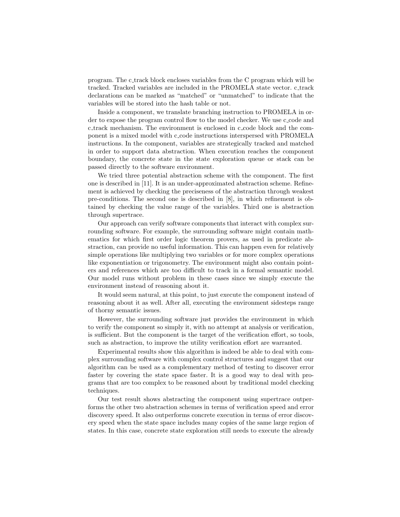program. The c track block encloses variables from the C program which will be tracked. Tracked variables are included in the PROMELA state vector. c track declarations can be marked as "matched" or "unmatched" to indicate that the variables will be stored into the hash table or not.

Inside a component, we translate branching instruction to PROMELA in order to expose the program control flow to the model checker. We use c code and c track mechanism. The environment is enclosed in c code block and the component is a mixed model with c code instructions interspersed with PROMELA instructions. In the component, variables are strategically tracked and matched in order to support data abstraction. When execution reaches the component boundary, the concrete state in the state exploration queue or stack can be passed directly to the software environment.

We tried three potential abstraction scheme with the component. The first one is described in [11]. It is an under-approximated abstraction scheme. Refinement is achieved by checking the preciseness of the abstraction through weakest pre-conditions. The second one is described in [8], in which refinement is obtained by checking the value range of the variables. Third one is abstraction through supertrace.

Our approach can verify software components that interact with complex surrounding software. For example, the surrounding software might contain mathematics for which first order logic theorem provers, as used in predicate abstraction, can provide no useful information. This can happen even for relatively simple operations like multiplying two variables or for more complex operations like exponentiation or trigonometry. The environment might also contain pointers and references which are too difficult to track in a formal semantic model. Our model runs without problem in these cases since we simply execute the environment instead of reasoning about it.

It would seem natural, at this point, to just execute the component instead of reasoning about it as well. After all, executing the environment sidesteps range of thorny semantic issues.

However, the surrounding software just provides the environment in which to verify the component so simply it, with no attempt at analysis or verification, is sufficient. But the component is the target of the verification effort, so tools, such as abstraction, to improve the utility verification effort are warranted.

Experimental results show this algorithm is indeed be able to deal with complex surrounding software with complex control structures and suggest that our algorithm can be used as a complementary method of testing to discover error faster by covering the state space faster. It is a good way to deal with programs that are too complex to be reasoned about by traditional model checking techniques.

Our test result shows abstracting the component using supertrace outperforms the other two abstraction schemes in terms of verification speed and error discovery speed. It also outperforms concrete execution in terms of error discovery speed when the state space includes many copies of the same large region of states. In this case, concrete state exploration still needs to execute the already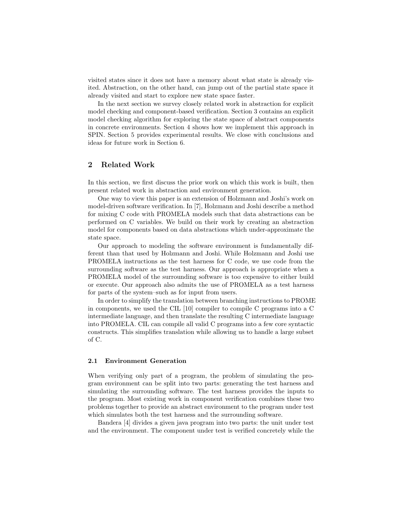visited states since it does not have a memory about what state is already visited. Abstraction, on the other hand, can jump out of the partial state space it already visited and start to explore new state space faster.

In the next section we survey closely related work in abstraction for explicit model checking and component-based verification. Section 3 contains an explicit model checking algorithm for exploring the state space of abstract components in concrete environments. Section 4 shows how we implement this approach in SPIN. Section 5 provides experimental results. We close with conclusions and ideas for future work in Section 6.

# 2 Related Work

In this section, we first discuss the prior work on which this work is built, then present related work in abstraction and environment generation.

One way to view this paper is an extension of Holzmann and Joshi's work on model-driven software verification. In [7], Holzmann and Joshi describe a method for mixing C code with PROMELA models such that data abstractions can be performed on C variables. We build on their work by creating an abstraction model for components based on data abstractions which under-approximate the state space.

Our approach to modeling the software environment is fundamentally different than that used by Holzmann and Joshi. While Holzmann and Joshi use PROMELA instructions as the test harness for C code, we use code from the surrounding software as the test harness. Our approach is appropriate when a PROMELA model of the surrounding software is too expensive to either build or execute. Our approach also admits the use of PROMELA as a test harness for parts of the system–such as for input from users.

In order to simplify the translation between branching instructions to PROME in components, we used the CIL [10] compiler to compile C programs into a C intermediate language, and then translate the resulting C intermediate language into PROMELA. CIL can compile all valid C programs into a few core syntactic constructs. This simplifies translation while allowing us to handle a large subset of C.

#### 2.1 Environment Generation

When verifying only part of a program, the problem of simulating the program environment can be split into two parts: generating the test harness and simulating the surrounding software. The test harness provides the inputs to the program. Most existing work in component verification combines these two problems together to provide an abstract environment to the program under test which simulates both the test harness and the surrounding software.

Bandera [4] divides a given java program into two parts: the unit under test and the environment. The component under test is verified concretely while the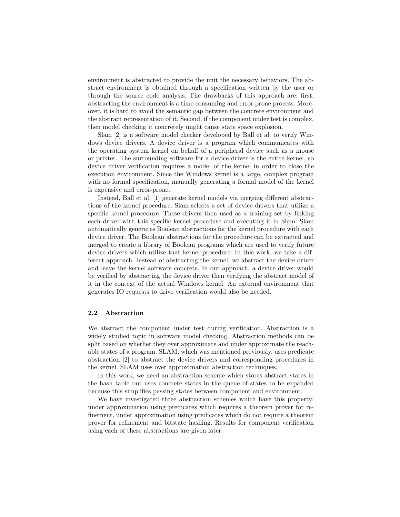environment is abstracted to provide the unit the necessary behaviors. The abstract environment is obtained through a specification written by the user or through the source code analysis. The drawbacks of this approach are: first, abstracting the environment is a time consuming and error prone process. Moreover, it is hard to avoid the semantic gap between the concrete environment and the abstract representation of it. Second, if the component under test is complex, then model checking it concretely might cause state space explosion.

Slam [2] is a software model checker developed by Ball et al. to verify Windows device drivers. A device driver is a program which communicates with the operating system kernel on behalf of a peripheral device such as a mouse or printer. The surrounding software for a device driver is the entire kernel, so device driver verification requires a model of the kernel in order to close the execution environment. Since the Windows kernel is a large, complex program with no formal specification, manually generating a formal model of the kernel is expensive and error-prone.

Instead, Ball et al. [1] generate kernel models via merging different abstractions of the kernel procedure. Slam selects a set of device drivers that utilize a specific kernel procedure. These drivers then used as a training set by linking each driver with this specific kernel procedure and executing it in Slam. Slam automatically generates Boolean abstractions for the kernel procedure with each device driver. The Boolean abstractions for the procedure can be extracted and merged to create a library of Boolean programs which are used to verify future device drivers which utilize that kernel procedure. In this work, we take a different approach. Instead of abstracting the kernel, we abstract the device driver and leave the kernel software concrete. In our approach, a device driver would be verified by abstracting the device driver then verifying the abstract model of it in the context of the actual Windows kernel. An external environment that generates IO requests to drive verification would also be needed.

#### 2.2 Abstraction

We abstract the component under test during verification. Abstraction is a widely studied topic in software model checking. Abstraction methods can be split based on whether they over approximate and under approximate the reachable states of a program. SLAM, which was mentioned previously, uses predicate abstraction [2] to abstract the device drivers and corresponding procedures in the kernel. SLAM uses over approximation abstraction techniques.

In this work, we need an abstraction scheme which stores abstract states in the hash table but uses concrete states in the queue of states to be expanded because this simplifies passing states between component and environment.

We have investigated three abstraction schemes which have this property: under approximation using predicates which requires a theorem prover for refinement, under approximation using predicates which do not require a theorem prover for refinement and bitstate hashing. Results for component verification using each of these abstractions are given later.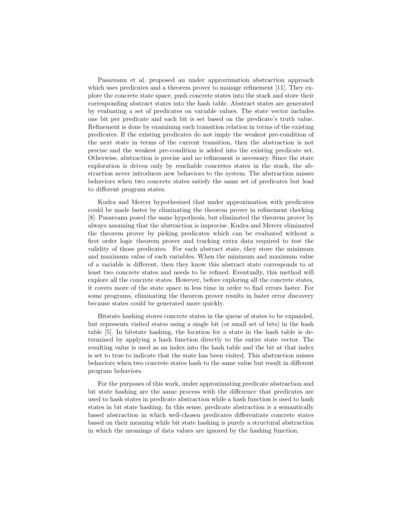Pasareanu et al. proposed an under approximation abstraction approach which uses predicates and a theorem prover to manage refinement [11]. They explore the concrete state space, push concrete states into the stack and store their corresponding abstract states into the hash table. Abstract states are generated by evaluating a set of predicates on variable values. The state vector includes one bit per predicate and each bit is set based on the predicate's truth value. Refinement is done by examining each transition relation in terms of the existing predicates. If the existing predicates do not imply the weakest pre-condition of the next state in terms of the current transition, then the abstraction is not precise and the weakest pre-condition is added into the existing predicate set. Otherwise, abstraction is precise and no refinement is necessary. Since the state exploration is driven only by reachable concretes states in the stack, the abstraction never introduces new behaviors to the system. The abstraction misses behaviors when two concrete states satisfy the same set of predicates but lead to different program states.

Kudra and Mercer hypothesized that under approximation with predicates could be made faster by eliminating the theorem prover in refinement checking [8]. Pasareanu posed the same hypothesis, but eliminated the theorem prover by always assuming that the abstraction is imprecise. Kudra and Mercer eliminated the theorem prover by picking predicates which can be evaluated without a first order logic theorem prover and tracking extra data required to test the validity of those predicates. For each abstract state, they store the minimum and maximum value of each variables. When the minimum and maximum value of a variable is different, then they know this abstract state corresponds to at least two concrete states and needs to be refined. Eventually, this method will explore all the concrete states. However, before exploring all the concrete states, it covers more of the state space in less time in order to find errors faster. For some programs, eliminating the theorem prover results in faster error discovery because states could be generated more quickly.

Bitstate hashing stores concrete states in the queue of states to be expanded, but represents visited states using a single bit (or small set of bits) in the hash table [5]. In bitstate hashing, the location for a state in the hash table is determined by applying a hash function directly to the entire state vector. The resulting value is used as an index into the hash table and the bit at that index is set to true to indicate that the state has been visited. This abstraction misses behaviors when two concrete states hash to the same value but result in different program behaviors.

For the purposes of this work, under approximating predicate abstraction and bit state hashing are the same process with the difference that predicates are used to hash states in predicate abstraction while a hash function is used to hash states in bit state hashing. In this sense, predicate abstraction is a semantically based abstraction in which well-chosen predicates differentiate concrete states based on their meaning while bit state hashing is purely a structural abstraction in which the meanings of data values are ignored by the hashing function.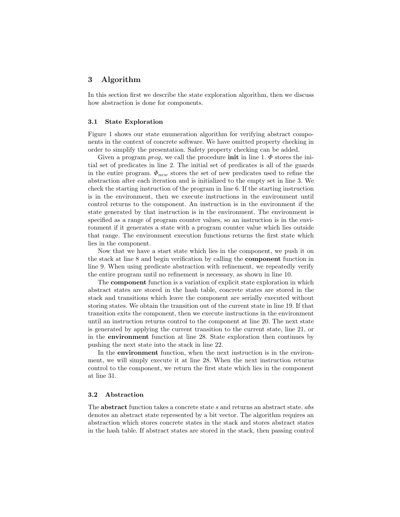# 3 Algorithm

In this section first we describe the state exploration algorithm, then we discuss how abstraction is done for components.

#### 3.1 State Exploration

Figure 1 shows our state enumeration algorithm for verifying abstract components in the context of concrete software. We have omitted property checking in order to simplify the presentation. Safety property checking can be added.

Given a program *prog*, we call the procedure **init** in line 1.  $\Phi$  stores the initial set of predicates in line 2. The initial set of predicates is all of the guards in the entire program.  $\Phi_{new}$  stores the set of new predicates used to refine the abstraction after each iteration and is initialized to the empty set in line 3. We check the starting instruction of the program in line 6. If the starting instruction is in the environment, then we execute instructions in the environment until control returns to the component. An instruction is in the environment if the state generated by that instruction is in the environment. The environment is specified as a range of program counter values, so an instruction is in the environment if it generates a state with a program counter value which lies outside that range. The environment execution functions returns the first state which lies in the component.

Now that we have a start state which lies in the component, we push it on the stack at line 8 and begin verification by calling the component function in line 9. When using predicate abstraction with refinement, we repeatedly verify the entire program until no refinement is necessary, as shown in line 10.

The component function is a variation of explicit state exploration in which abstract states are stored in the hash table, concrete states are stored in the stack and transitions which leave the component are serially executed without storing states. We obtain the transition out of the current state in line 19. If that transition exits the component, then we execute instructions in the environment until an instruction returns control to the component at line 20. The next state is generated by applying the current transition to the current state, line 21, or in the environment function at line 28. State exploration then continues by pushing the next state into the stack in line 22.

In the environment function, when the next instruction is in the environment, we will simply execute it at line 28. When the next instruction returns control to the component, we return the first state which lies in the component at line 31.

#### 3.2 Abstraction

The **abstract** function takes a concrete state s and returns an abstract state. abs denotes an abstract state represented by a bit vector. The algorithm requires an abstraction which stores concrete states in the stack and stores abstract states in the hash table. If abstract states are stored in the stack, then passing control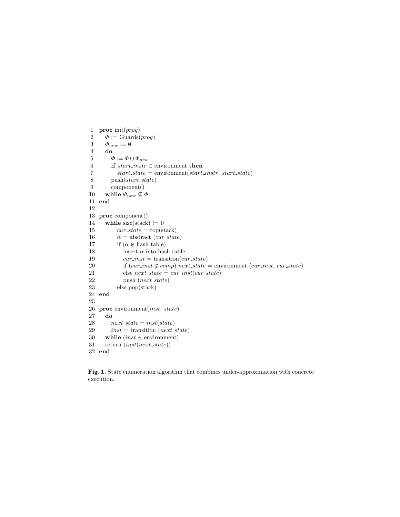```
1 proc init(prog)
2 \Phi := Guards(prog)
3 \Phi_{new} := \emptyset4 do
5 \Phi := \Phi \cup \Phi_{new}6 if start\_instr \in environment then
7 start\_state = environment(start\_instr, start\_state)8 push(start\_state)<br>9 component()component()
10 while \Phi_{new} \nsubseteq \Phi11 end
12
13 proc component()
14 while size(stack) != 015 cur\_state = \text{top}(\text{stack})16 \alpha = abstract (cur_state)
17 if (\alpha \notin \text{hash table})18 insert \alpha into hash table
19 cur\_inst = transition(cur\_state)20 if (cur\_inst \notin comp) next_state = environment (cur\_inst, cur\_state)21 else next\_state = cur\_inst(cur\_state)<br>22 push (next\_state)push (next_state)
23 else pop(stack)
24 end
25
26 proc environment(nst, state)<br>27 do
      do
28 next\_state = inst(state)<br>
29 inst = transition(next\_s)inst = transition (next-state)30 while (inst \in environment)31 return (inst(next_state))
32 end
```
Fig. 1. State enumeration algorithm that combines under-approximation with concrete execution.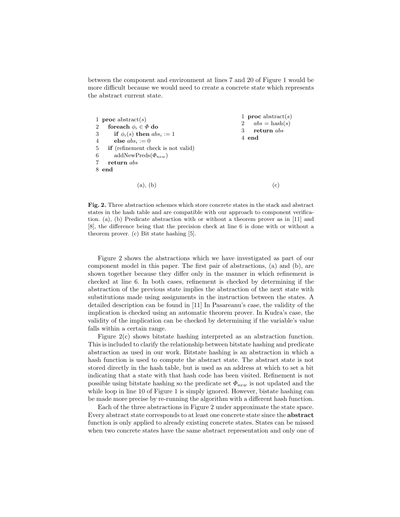between the component and environment at lines 7 and 20 of Figure 1 would be more difficult because we would need to create a concrete state which represents the abstract current state.

| 1 <b>proc</b> abstract(s)<br>foreach $\phi_i \in \Phi$ do<br>$\overline{2}$<br>if $\phi_i(s)$ then $abs_i := 1$<br>3<br>else $abs_i := 0$<br>4<br><b>if</b> (refinement check is not valid)<br>-5<br>addNewPreds $(\Phi_{new})$<br>6<br>return abs | 1 <b>proc</b> abstract(s)<br>$abs =$ hash $(s)$<br>$2^{\circ}$<br>return abs<br>3<br>4 end |
|----------------------------------------------------------------------------------------------------------------------------------------------------------------------------------------------------------------------------------------------------|--------------------------------------------------------------------------------------------|
| 8 end                                                                                                                                                                                                                                              |                                                                                            |
| a                                                                                                                                                                                                                                                  | c                                                                                          |

Fig. 2. Three abstraction schemes which store concrete states in the stack and abstract states in the hash table and are compatible with our approach to component verification. (a), (b) Predicate abstraction with or without a theorem prover as in [11] and [8], the difference being that the precision check at line 6 is done with or without a theorem prover. (c) Bit state hashing [5].

Figure 2 shows the abstractions which we have investigated as part of our component model in this paper. The first pair of abstractions, (a) and (b), are shown together because they differ only in the manner in which refinement is checked at line 6. In both cases, refinement is checked by determining if the abstraction of the previous state implies the abstraction of the next state with substitutions made using assignments in the instruction between the states. A detailed description can be found in [11] In Pasareanu's case, the validity of the implication is checked using an automatic theorem prover. In Kudra's case, the validity of the implication can be checked by determining if the variable's value falls within a certain range.

Figure 2(c) shows bitstate hashing interpreted as an abstraction function. This is included to clarify the relationship between bitstate hashing and predicate abstraction as used in our work. Bitstate hashing is an abstraction in which a hash function is used to compute the abstract state. The abstract state is not stored directly in the hash table, but is used as an address at which to set a bit indicating that a state with that hash code has been visited. Refinement is not possible using bitstate hashing so the predicate set  $\Phi_{new}$  is not updated and the while loop in line 10 of Figure 1 is simply ignored. However, bistate hashing can be made more precise by re-running the algorithm with a different hash function.

Each of the three abstractions in Figure 2 under approximate the state space. Every abstract state corresponds to at least one concrete state since the abstract function is only applied to already existing concrete states. States can be missed when two concrete states have the same abstract representation and only one of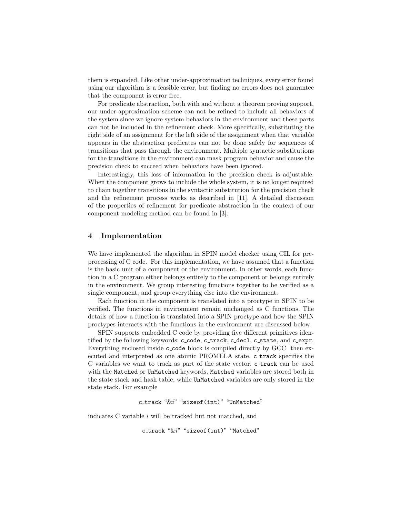them is expanded. Like other under-approximation techniques, every error found using our algorithm is a feasible error, but finding no errors does not guarantee that the component is error free.

For predicate abstraction, both with and without a theorem proving support, our under-approximation scheme can not be refined to include all behaviors of the system since we ignore system behaviors in the environment and these parts can not be included in the refinement check. More specifically, substituting the right side of an assignment for the left side of the assignment when that variable appears in the abstraction predicates can not be done safely for sequences of transitions that pass through the environment. Multiple syntactic substitutions for the transitions in the environment can mask program behavior and cause the precision check to succeed when behaviors have been ignored.

Interestingly, this loss of information in the precision check is adjustable. When the component grows to include the whole system, it is no longer required to chain together transitions in the syntactic substitution for the precision check and the refinement process works as described in [11]. A detailed discussion of the properties of refinement for predicate abstraction in the context of our component modeling method can be found in [3].

## 4 Implementation

We have implemented the algorithm in SPIN model checker using CIL for preprocessing of C code. For this implementation, we have assumed that a function is the basic unit of a component or the environment. In other words, each function in a C program either belongs entirely to the component or belongs entirely in the environment. We group interesting functions together to be verified as a single component, and group everything else into the environment.

Each function in the component is translated into a proctype in SPIN to be verified. The functions in environment remain unchanged as C functions. The details of how a function is translated into a SPIN proctype and how the SPIN proctypes interacts with the functions in the environment are discussed below.

SPIN supports embedded C code by providing five different primitives identified by the following keywords: c\_code, c\_track, c\_decl, c\_state, and c\_expr. Everything enclosed inside c\_code block is compiled directly by GCC then executed and interpreted as one atomic PROMELA state. c\_track specifies the C variables we want to track as part of the state vector. c\_track can be used with the Matched or UnMatched keywords. Matched variables are stored both in the state stack and hash table, while UnMatched variables are only stored in the state stack. For example

c track "&i" "sizeof(int)" "UnMatched"

indicates C variable i will be tracked but not matched, and

c\_track " $&i$ " "sizeof(int)" "Matched"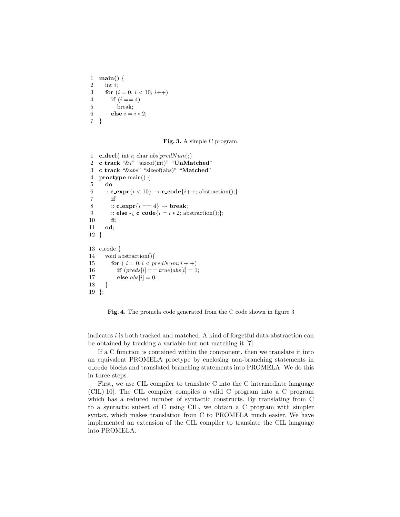```
1 main() {
2 int i;
3 for (i = 0; i < 10; i++)4 if (i == 4)5 break;
6 else i = i * 2;
7 }
```
Fig. 3. A simple C program.

```
1 c_decl{ int i; char abs[predNum];}
2 c track "&i" "sizeof(int)" "UnMatched"
3 c track "&abs" "sizeof(abs)" "Matched"
4 proctype main() {
5 do
6 :: c_expr{i < 10} \rightarrow c_code{i++; abstraction();}
7 if
8 :: c_expr\{i == 4\} \rightarrow \text{break};9 :: else -¿ c\_code[i = i * 2; abstraction();};
10 fi;
11 od;
12 }
13 c-code {
14 void abstraction(){
15 for (i = 0; i < predNum; i++)16 if (preds[i] == true)abs[i] = 1;17 else abs[i] = 0;18 }
19 };
```
Fig. 4. The promela code generated from the C code shown in figure 3

indicates i is both tracked and matched. A kind of forgetful data abstraction can be obtained by tracking a variable but not matching it [7].

If a C function is contained within the component, then we translate it into an equivalent PROMELA proctype by enclosing non-branching statements in c code blocks and translated branching statements into PROMELA. We do this in three steps.

First, we use CIL compiler to translate C into the C intermediate language (CIL)[10]. The CIL compiler compiles a valid C program into a C program which has a reduced number of syntactic constructs. By translating from C to a syntactic subset of C using CIL, we obtain a C program with simpler syntax, which makes translation from C to PROMELA much easier. We have implemented an extension of the CIL compiler to translate the CIL language into PROMELA.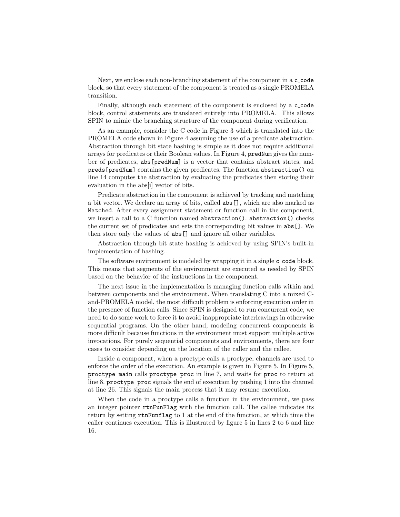Next, we enclose each non-branching statement of the component in a c<sub>racel</sub> block, so that every statement of the component is treated as a single PROMELA transition.

Finally, although each statement of the component is enclosed by a c<sub>-code</sub> block, control statements are translated entirely into PROMELA. This allows SPIN to mimic the branching structure of the component during verification.

As an example, consider the C code in Figure 3 which is translated into the PROMELA code shown in Figure 4 assuming the use of a predicate abstraction. Abstraction through bit state hashing is simple as it does not require additional arrays for predicates or their Boolean values. In Figure 4, predNum gives the number of predicates, abs[predNum] is a vector that contains abstract states, and preds[predNum] contains the given predicates. The function abstraction() on line 14 computes the abstraction by evaluating the predicates then storing their evaluation in the abs[i] vector of bits.

Predicate abstraction in the component is achieved by tracking and matching a bit vector. We declare an array of bits, called abs[], which are also marked as Matched. After every assignment statement or function call in the component, we insert a call to a C function named abstraction(). abstraction() checks the current set of predicates and sets the corresponding bit values in abs[]. We then store only the values of abs[] and ignore all other variables.

Abstraction through bit state hashing is achieved by using SPIN's built-in implementation of hashing.

The software environment is modeled by wrapping it in a single c\_code block. This means that segments of the environment are executed as needed by SPIN based on the behavior of the instructions in the component.

The next issue in the implementation is managing function calls within and between components and the environment. When translating C into a mixed Cand-PROMELA model, the most difficult problem is enforcing execution order in the presence of function calls. Since SPIN is designed to run concurrent code, we need to do some work to force it to avoid inappropriate interleavings in otherwise sequential programs. On the other hand, modeling concurrent components is more difficult because functions in the environment must support multiple active invocations. For purely sequential components and environments, there are four cases to consider depending on the location of the caller and the callee.

Inside a component, when a proctype calls a proctype, channels are used to enforce the order of the execution. An example is given in Figure 5. In Figure 5, proctype main calls proctype proc in line 7, and waits for proc to return at line 8. proctype proc signals the end of execution by pushing 1 into the channel at line 26. This signals the main process that it may resume execution.

When the code in a proctype calls a function in the environment, we pass an integer pointer rtnFunFlag with the function call. The callee indicates its return by setting rtnFunflag to 1 at the end of the function, at which time the caller continues execution. This is illustrated by figure 5 in lines 2 to 6 and line 16.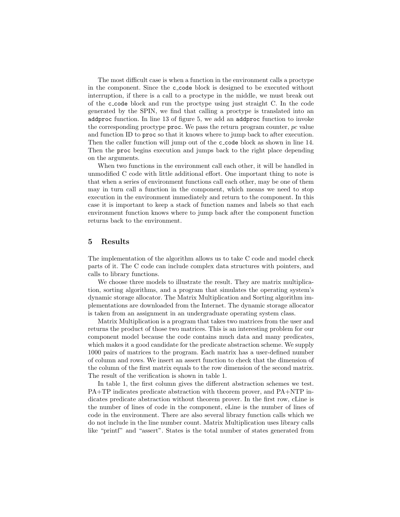The most difficult case is when a function in the environment calls a proctype in the component. Since the c code block is designed to be executed without interruption, if there is a call to a proctype in the middle, we must break out of the c code block and run the proctype using just straight C. In the code generated by the SPIN, we find that calling a proctype is translated into an addproc function. In line 13 of figure 5, we add an addproc function to invoke the corresponding proctype  $\mathsf{proc}$ . We pass the return program counter,  $pc$  value and function ID to proc so that it knows where to jump back to after execution. Then the caller function will jump out of the c<sub>-code</sub> block as shown in line 14. Then the proc begins execution and jumps back to the right place depending on the arguments.

When two functions in the environment call each other, it will be handled in unmodified C code with little additional effort. One important thing to note is that when a series of environment functions call each other, may be one of them may in turn call a function in the component, which means we need to stop execution in the environment immediately and return to the component. In this case it is important to keep a stack of function names and labels so that each environment function knows where to jump back after the component function returns back to the environment.

### 5 Results

The implementation of the algorithm allows us to take C code and model check parts of it. The C code can include complex data structures with pointers, and calls to library functions.

We choose three models to illustrate the result. They are matrix multiplication, sorting algorithms, and a program that simulates the operating system's dynamic storage allocator. The Matrix Multiplication and Sorting algorithm implementations are downloaded from the Internet. The dynamic storage allocator is taken from an assignment in an undergraduate operating system class.

Matrix Multiplication is a program that takes two matrices from the user and returns the product of those two matrices. This is an interesting problem for our component model because the code contains much data and many predicates, which makes it a good candidate for the predicate abstraction scheme. We supply 1000 pairs of matrices to the program. Each matrix has a user-defined number of column and rows. We insert an assert function to check that the dimension of the column of the first matrix equals to the row dimension of the second matrix. The result of the verification is shown in table 1.

In table 1, the first column gives the different abstraction schemes we test. PA+TP indicates predicate abstraction with theorem prover, and PA+NTP indicates predicate abstraction without theorem prover. In the first row, cLine is the number of lines of code in the component, eLine is the number of lines of code in the environment. There are also several library function calls which we do not include in the line number count. Matrix Multiplication uses library calls like "printf" and "assert". States is the total number of states generated from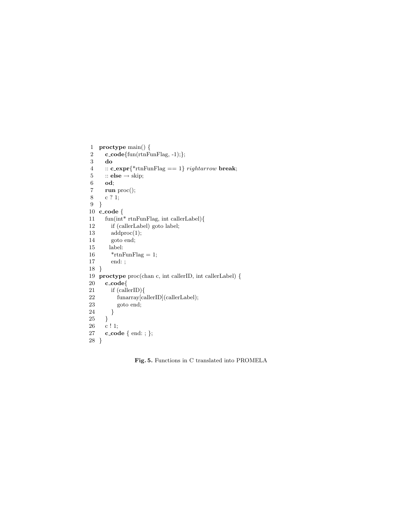```
1 proctype main() {<br>2 c_code{fun(rtnFu
 2 c_code{fun(rtnFunFlag, -1);};<br>3 do
         3 do
 4 :: c_expr{*rtnFunFlag == 1} rightarrow break;<br>5 :: else \rightarrow skip;
         \therefore else \rightarrow skip;
 \begin{matrix} 6 & \textbf{od}; \\ 7 & \textbf{run} \end{matrix}run proc();
 8 c ? 1;
9 }
10 c-code {
11 fun(int* rtnFunFlag, int callerLabel) {<br>12 if (callerLabel) goto label;
            if (callerLabel) goto label;
13 addproc(1);
\begin{tabular}{ll} 14 & \quad \  \  \, \text{goto end;}\\ 15 & \quad \  \  \, \text{label:2} \end{tabular}label:
16 *rtnFunFlag = 1;
17 end: ;
18 }
19 proctype proc(chan c, int callerID, int callerLabel) {
20 c_code{
21 if (callerID)\{<br>22 funarray\intfunarray[callerID](callerLabel);
23 goto end;
\begin{array}{cc} 24 & \phantom{0} \\ 25 & \phantom{0} \end{array}25\,26 c ! 1;
27 c_code { end: ; };
28 }
```
Fig. 5. Functions in C translated into PROMELA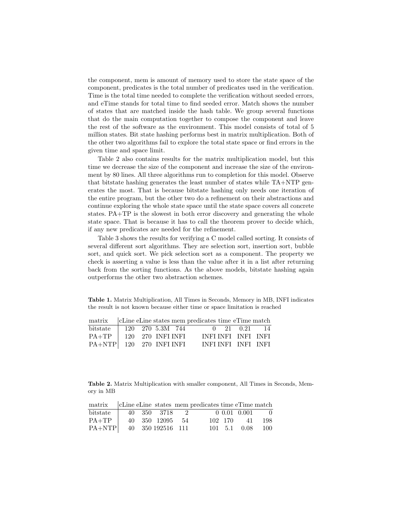the component, mem is amount of memory used to store the state space of the component, predicates is the total number of predicates used in the verification. Time is the total time needed to complete the verification without seeded errors, and eTime stands for total time to find seeded error. Match shows the number of states that are matched inside the hash table. We group several functions that do the main computation together to compose the component and leave the rest of the software as the environment. This model consists of total of 5 million states. Bit state hashing performs best in matrix multiplication. Both of the other two algorithms fail to explore the total state space or find errors in the given time and space limit.

Table 2 also contains results for the matrix multiplication model, but this time we decrease the size of the component and increase the size of the environment by 80 lines. All three algorithms run to completion for this model. Observe that bitstate hashing generates the least number of states while TA+NTP generates the most. That is because bitstate hashing only needs one iteration of the entire program, but the other two do a refinement on their abstractions and continue exploring the whole state space until the state space covers all concrete states. PA+TP is the slowest in both error discovery and generating the whole state space. That is because it has to call the theorem prover to decide which, if any new predicates are needed for the refinement.

Table 3 shows the results for verifying a C model called sorting. It consists of several different sort algorithms. They are selection sort, insertion sort, bubble sort, and quick sort. We pick selection sort as a component. The property we check is asserting a value is less than the value after it in a list after returning back from the sorting functions. As the above models, bitstate hashing again outperforms the other two abstraction schemes.

Table 1. Matrix Multiplication, All Times in Seconds, Memory in MB, INFI indicates the result is not known because either time or space limitation is reached

|                            |  |                   | matrix cLine eLine states mem predicates time eTime match |                      |                     |
|----------------------------|--|-------------------|-----------------------------------------------------------|----------------------|---------------------|
| bitstate                   |  | 120 270 5.3M 744  |                                                           | $0 \t21 \t0.21 \t14$ |                     |
| $PA+TP$                    |  | 120 270 INFI INFI |                                                           |                      | INFI INFI INFI INFI |
| PA+NTP   120 270 INFI INFI |  |                   |                                                           | INFI INFI INFI INFI  |                     |

Table 2. Matrix Multiplication with smaller component, All Times in Seconds, Memory in MB

| matrix   |  |                   | cLine eLine states mem predicates time eTime match |         |              |                   |
|----------|--|-------------------|----------------------------------------------------|---------|--------------|-------------------|
| bitstate |  | 40 350 3718 2     |                                                    |         |              | 0,0.01,0.001,0.00 |
| $PA+TP$  |  | 40 350 12095 54   |                                                    | 102 170 | 41           | 198               |
| $PA+NTP$ |  | 40 350 192516 111 |                                                    |         | 101 5.1 0.08 | 100               |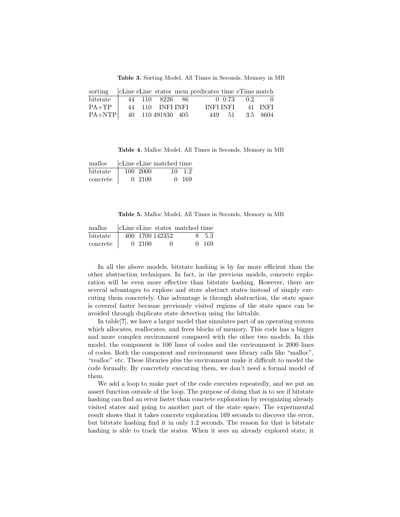Table 3. Sorting Model, All Times in Seconds, Memory in MB

| sorting     |  |                   | cLine eLine states mem predicates time eTime match |        |                    |          |
|-------------|--|-------------------|----------------------------------------------------|--------|--------------------|----------|
| $bits$ tate |  | 44 110 8226 86    |                                                    |        | $0\;\;0.73\;\;0.2$ | - 0      |
| $PA+TP$     |  | 44 110 INFI INFI  |                                                    |        | INFI INFI 41 INFI  |          |
| $PA+NTP$    |  | 40 110 491830 405 |                                                    | 449 51 |                    | 3.5 8604 |

Table 4. Malloc Model, All Times in Seconds, Memory in MB

| malloc   |          | cLine eLine matched time |       |
|----------|----------|--------------------------|-------|
| bitstate | 100 2000 | 10                       | -1.2  |
| concrete | 0 2100   |                          | 0 169 |

Table 5. Malloc Model, All Times in Seconds, Memory in MB

| malloc   |        |                 | cLine eLine states matched time |       |
|----------|--------|-----------------|---------------------------------|-------|
| bitstate |        | 400 1700 142352 |                                 | 8 53  |
| concrete | 0 2100 | $^{\prime}$     |                                 | 0 169 |

In all the above models, bitstate hashing is by far more efficient than the other abstraction techniques. In fact, in the previous models, concrete exploration will be even more effective than bitstate hashing. However, there are several advantages to explore and store abstract states instead of simply executing them concretely. One advantage is through abstraction, the state space is covered faster because previously visited regions of the state space can be avoided through duplicate state detection using the bittable.

In table[?], we have a larger model that simulates part of an operating system which allocates, reallocates, and frees blocks of memory. This code has a bigger and more complex environment compared with the other two models. In this model, the component is 100 lines of codes and the environment is 2000 lines of codes. Both the component and environment uses library calls like "malloc", "realloc" etc. These libraries plus the environment make it difficult to model the code formally. By concretely executing them, we don't need a formal model of them.

We add a loop to make part of the code executes repeatedly, and we put an assert function outside of the loop. The purpose of doing that is to see if bitstate hashing can find an error faster than concrete exploration by recognizing already visited states and going to another part of the state space. The experimental result shows that it takes concrete exploration 169 seconds to discover the error, but bitstate hashing find it in only 1.2 seconds. The reason for that is bitstate hashing is able to track the states. When it sees an already explored state, it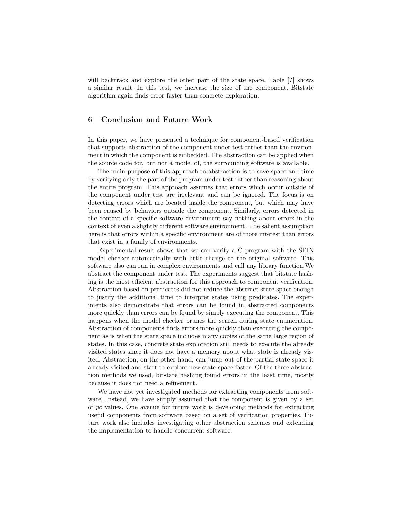will backtrack and explore the other part of the state space. Table [?] shows a similar result. In this test, we increase the size of the component. Bitstate algorithm again finds error faster than concrete exploration.

# 6 Conclusion and Future Work

In this paper, we have presented a technique for component-based verification that supports abstraction of the component under test rather than the environment in which the component is embedded. The abstraction can be applied when the source code for, but not a model of, the surrounding software is available.

The main purpose of this approach to abstraction is to save space and time by verifying only the part of the program under test rather than reasoning about the entire program. This approach assumes that errors which occur outside of the component under test are irrelevant and can be ignored. The focus is on detecting errors which are located inside the component, but which may have been caused by behaviors outside the component. Similarly, errors detected in the context of a specific software environment say nothing about errors in the context of even a slightly different software environment. The salient assumption here is that errors within a specific environment are of more interest than errors that exist in a family of environments.

Experimental result shows that we can verify a C program with the SPIN model checker automatically with little change to the original software. This software also can run in complex environments and call any library function.We abstract the component under test. The experiments suggest that bitstate hashing is the most efficient abstraction for this approach to component verification. Abstraction based on predicates did not reduce the abstract state space enough to justify the additional time to interpret states using predicates. The experiments also demonstrate that errors can be found in abstracted components more quickly than errors can be found by simply executing the component. This happens when the model checker prunes the search during state enumeration. Abstraction of components finds errors more quickly than executing the component as is when the state space includes many copies of the same large region of states. In this case, concrete state exploration still needs to execute the already visited states since it does not have a memory about what state is already visited. Abstraction, on the other hand, can jump out of the partial state space it already visited and start to explore new state space faster. Of the three abstraction methods we used, bitstate hashing found errors in the least time, mostly because it does not need a refinement.

We have not yet investigated methods for extracting components from software. Instead, we have simply assumed that the component is given by a set of pc values. One avenue for future work is developing methods for extracting useful components from software based on a set of verification properties. Future work also includes investigating other abstraction schemes and extending the implementation to handle concurrent software.